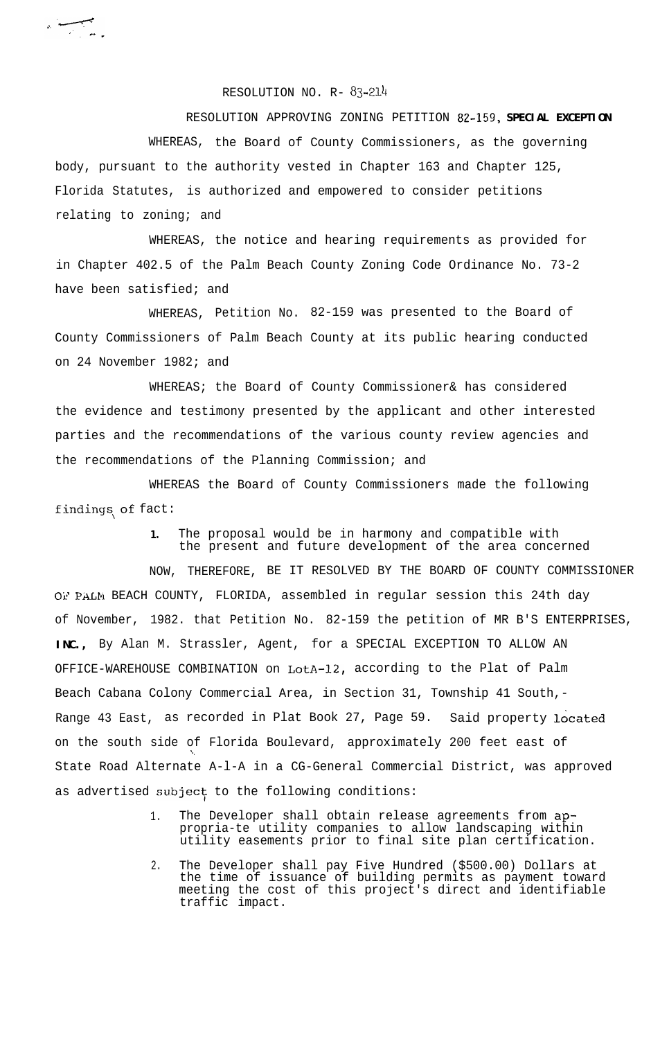RESOLUTION NO. R- 83-214

 $\sim$ 

RESOLUTION APPROVING ZONING PETITION **82-159, SPECIAL EXCEPTION** WHEREAS, the Board of County Commissioners, as the governing body, pursuant to the authority vested in Chapter 163 and Chapter 125, Florida Statutes, is authorized and empowered to consider petitions relating to zoning; and

WHEREAS, the notice and hearing requirements as provided for in Chapter 402.5 of the Palm Beach County Zoning Code Ordinance No. 73-2 have been satisfied; and

WHEREAS, Petition No. 82-159 was presented to the Board of County Commissioners of Palm Beach County at its public hearing conducted on 24 November 1982; and

WHEREAS; the Board of County Commissioner& has considered the evidence and testimony presented by the applicant and other interested parties and the recommendations of the various county review agencies and the recommendations of the Planning Commission; and

WHEREAS the Board of County Commissioners made the following findings of fact:

> **1.** The proposal would be in harmony and compatible with the present and future development of the area concerned

NOW, THEREFORE, BE IT RESOLVED BY THE BOARD OF COUNTY COMMISSIONER OF PALM BEACH COUNTY, FLORIDA, assembled in regular session this 24th day of November, 1982. that Petition No. 82-159 the petition of MR B'S ENTERPRISES, **INC.,** By Alan M. Strassler, Agent, for a SPECIAL EXCEPTION TO ALLOW AN OFFICE-WAREHOUSE COMBINATION on LotA-12, according to the Plat of Palm Beach Cabana Colony Commercial Area, in Section 31, Township 41 South,- Range 43 East, as recorded in Plat Book 27, Page 59. Said property located on the south side of Florida Boulevard, approximately 200 feet east of State Road Alternate A-l-A in a CG-General Commercial District, was approved as advertised subject to the following conditions:

- 1. The Developer shall obtain release agreements from appropria-te utility companies to allow landscaping within utility easements prior to final site plan certification.
- 2. The Developer shall pay Five Hundred (\$500.00) Dollars at the time of issuance of building permits as payment toward meeting the cost of this project's direct and identifiable traffic impact.